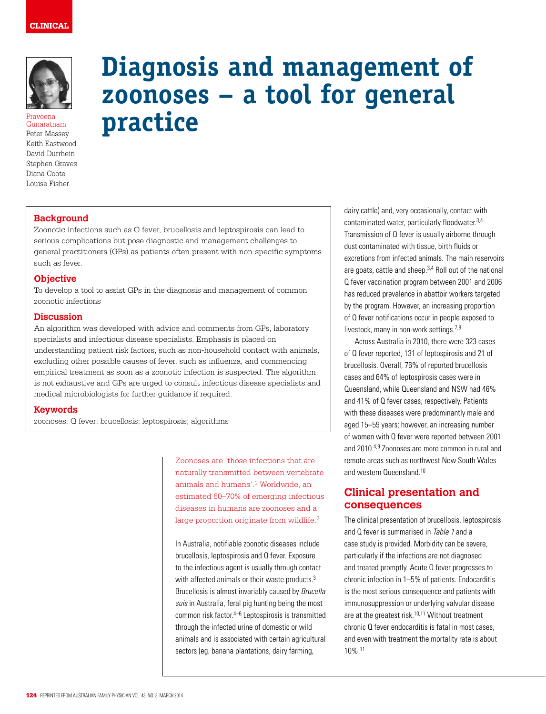

Praveena Gunaratnam Peter Massey Keith Eastwood David Durrhein Stephen Graves Diana Coote Louise Fisher

# **Diagnosis and management of zoonoses – a tool for general practice**

# **Background**

Zoonotic infections such as Q fever, brucellosis and leptospirosis can lead to serious complications but pose diagnostic and management challenges to general practitioners (GPs) as patients often present with non-specific symptoms such as fever.

## **Objective**

To develop a tool to assist GPs in the diagnosis and management of common zoonotic infections

## **Discussion**

An algorithm was developed with advice and comments from GPs, laboratory specialists and infectious disease specialists. Emphasis is placed on understanding patient risk factors, such as non-household contact with animals, excluding other possible causes of fever, such as influenza, and commencing empirical treatment as soon as a zoonotic infection is suspected. The algorithm is not exhaustive and GPs are urged to consult infectious disease specialists and medical microbiologists for further guidance if required.

## **Keywords**

zoonoses; Q fever; brucellosis; leptospirosis; algorithms

Zoonoses are 'those infections that are naturally transmitted between vertebrate animals and humans'.1 Worldwide, an estimated 60–70% of emerging infectious diseases in humans are zoonoses and a large proportion originate from wildlife.<sup>2</sup>

In Australia, notifiable zoonotic diseases include brucellosis, leptospirosis and Q fever. Exposure to the infectious agent is usually through contact with affected animals or their waste products.<sup>3</sup> Brucellosis is almost invariably caused by Brucella suis in Australia, feral pig hunting being the most common risk factor.<sup>4–6</sup> Leptospirosis is transmitted through the infected urine of domestic or wild animals and is associated with certain agricultural sectors (eg. banana plantations, dairy farming,

dairy cattle) and, very occasionally, contact with contaminated water, particularly floodwater.3,4 Transmission of Q fever is usually airborne through dust contaminated with tissue, birth fluids or excretions from infected animals. The main reservoirs are goats, cattle and sheep.3,4 Roll out of the national Q fever vaccination program between 2001 and 2006 has reduced prevalence in abattoir workers targeted by the program. However, an increasing proportion of Q fever notifications occur in people exposed to livestock, many in non-work settings.7,8

Across Australia in 2010, there were 323 cases of Q fever reported, 131 of leptospirosis and 21 of brucellosis. Overall, 76% of reported brucellosis cases and 64% of leptospirosis cases were in Queensland, while Queensland and NSW had 46% and 41% of Q fever cases, respectively. Patients with these diseases were predominantly male and aged 15–59 years; however, an increasing number of women with Q fever were reported between 2001 and 2010.4,9 Zoonoses are more common in rural and remote areas such as northwest New South Wales and western Queensland.10

# **Clinical presentation and consequences**

The clinical presentation of brucellosis, leptospirosis and Q fever is summarised in Table 1 and a case study is provided. Morbidity can be severe, particularly if the infections are not diagnosed and treated promptly. Acute Q fever progresses to chronic infection in 1–5% of patients. Endocarditis is the most serious consequence and patients with immunosuppression or underlying valvular disease are at the greatest risk.<sup>10,11</sup> Without treatment chronic Q fever endocarditis is fatal in most cases, and even with treatment the mortality rate is about 10%.11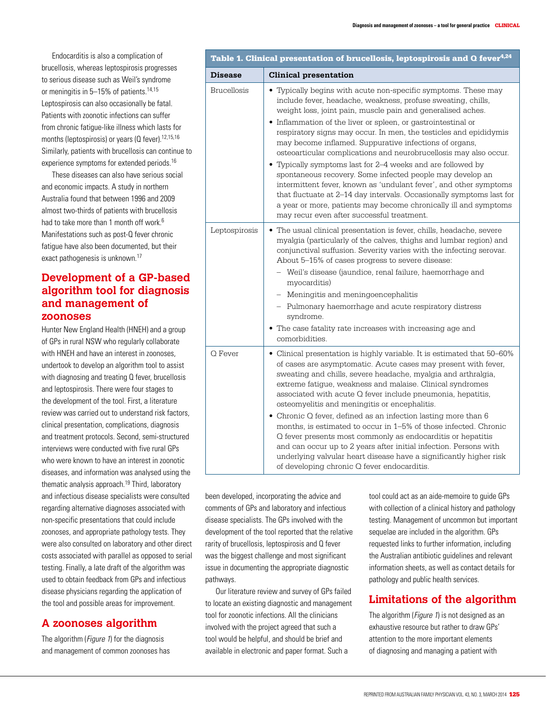Endocarditis is also a complication of brucellosis, whereas leptospirosis progresses to serious disease such as Weil's syndrome or meningitis in 5–15% of patients.<sup>14,15</sup> Leptospirosis can also occasionally be fatal. Patients with zoonotic infections can suffer from chronic fatigue-like illness which lasts for months (leptospirosis) or years (Q fever).<sup>12,15,16</sup> Similarly, patients with brucellosis can continue to experience symptoms for extended periods.<sup>16</sup>

These diseases can also have serious social and economic impacts. A study in northern Australia found that between 1996 and 2009 almost two-thirds of patients with brucellosis had to take more than 1 month off work.<sup>6</sup> Manifestations such as post-Q fever chronic fatigue have also been documented, but their exact pathogenesis is unknown.17

# **Development of a GP-based algorithm tool for diagnosis and management of zoonoses**

Hunter New England Health (HNEH) and a group of GPs in rural NSW who regularly collaborate with HNEH and have an interest in zoonoses, undertook to develop an algorithm tool to assist with diagnosing and treating Q fever, brucellosis and leptospirosis. There were four stages to the development of the tool. First, a literature review was carried out to understand risk factors, clinical presentation, complications, diagnosis and treatment protocols. Second, semi-structured interviews were conducted with five rural GPs who were known to have an interest in zoonotic diseases, and information was analysed using the thematic analysis approach.19 Third, laboratory and infectious disease specialists were consulted regarding alternative diagnoses associated with non-specific presentations that could include zoonoses, and appropriate pathology tests. They were also consulted on laboratory and other direct costs associated with parallel as opposed to serial testing. Finally, a late draft of the algorithm was used to obtain feedback from GPs and infectious disease physicians regarding the application of the tool and possible areas for improvement.

# **A zoonoses algorithm**

The algorithm (*Figure 1*) for the diagnosis and management of common zoonoses has

| Table 1. Clinical presentation of brucellosis, leptospirosis and Q fever <sup>4,24</sup> |                                                                                                                                                                                                                                                                                                                                                                                                                                                                                                                                                                                                                                                                                                                                                                                                                                                               |
|------------------------------------------------------------------------------------------|---------------------------------------------------------------------------------------------------------------------------------------------------------------------------------------------------------------------------------------------------------------------------------------------------------------------------------------------------------------------------------------------------------------------------------------------------------------------------------------------------------------------------------------------------------------------------------------------------------------------------------------------------------------------------------------------------------------------------------------------------------------------------------------------------------------------------------------------------------------|
| <b>Disease</b>                                                                           | <b>Clinical presentation</b>                                                                                                                                                                                                                                                                                                                                                                                                                                                                                                                                                                                                                                                                                                                                                                                                                                  |
| <b>Brucellosis</b>                                                                       | • Typically begins with acute non-specific symptoms. These may<br>include fever, headache, weakness, profuse sweating, chills,<br>weight loss, joint pain, muscle pain and generalised aches.<br>• Inflammation of the liver or spleen, or gastrointestinal or<br>respiratory signs may occur. In men, the testicles and epididymis<br>may become inflamed. Suppurative infections of organs,<br>osteoarticular complications and neurobrucellosis may also occur.<br>• Typically symptoms last for 2–4 weeks and are followed by<br>spontaneous recovery. Some infected people may develop an<br>intermittent fever, known as 'undulant fever', and other symptoms<br>that fluctuate at 2-14 day intervals. Occasionally symptoms last for<br>a year or more, patients may become chronically ill and symptoms<br>may recur even after successful treatment. |
| Leptospirosis                                                                            | • The usual clinical presentation is fever, chills, headache, severe<br>myalgia (particularly of the calves, thighs and lumbar region) and<br>conjunctival suffusion. Severity varies with the infecting serovar.<br>About 5-15% of cases progress to severe disease:<br>- Weil's disease (jaundice, renal failure, haemorrhage and<br>myocarditis)<br>- Meningitis and meningoencephalitis<br>- Pulmonary haemorrhage and acute respiratory distress<br>syndrome.<br>• The case fatality rate increases with increasing age and<br>comorbidities.                                                                                                                                                                                                                                                                                                            |
| Q Fever                                                                                  | • Clinical presentation is highly variable. It is estimated that 50-60%<br>of cases are asymptomatic. Acute cases may present with fever,<br>sweating and chills, severe headache, myalgia and arthralgia,<br>extreme fatigue, weakness and malaise. Clinical syndromes<br>associated with acute Q fever include pneumonia, hepatitis,<br>osteomyelitis and meningitis or encephalitis.<br>• Chronic Q fever, defined as an infection lasting more than $6$<br>months, is estimated to occur in 1-5% of those infected. Chronic<br>Q fever presents most commonly as endocarditis or hepatitis<br>and can occur up to 2 years after initial infection. Persons with<br>underlying valvular heart disease have a significantly higher risk<br>of developing chronic Q fever endocarditis.                                                                      |

been developed, incorporating the advice and comments of GPs and laboratory and infectious disease specialists. The GPs involved with the development of the tool reported that the relative rarity of brucellosis, leptospirosis and Q fever was the biggest challenge and most significant issue in documenting the appropriate diagnostic pathways.

Our literature review and survey of GPs failed to locate an existing diagnostic and management tool for zoonotic infections. All the clinicians involved with the project agreed that such a tool would be helpful, and should be brief and available in electronic and paper format. Such a

tool could act as an aide-memoire to guide GPs with collection of a clinical history and pathology testing. Management of uncommon but important sequelae are included in the algorithm. GPs requested links to further information, including the Australian antibiotic guidelines and relevant information sheets, as well as contact details for pathology and public health services.

# **Limitations of the algorithm**

The algorithm (*Figure 1*) is not designed as an exhaustive resource but rather to draw GPs' attention to the more important elements of diagnosing and managing a patient with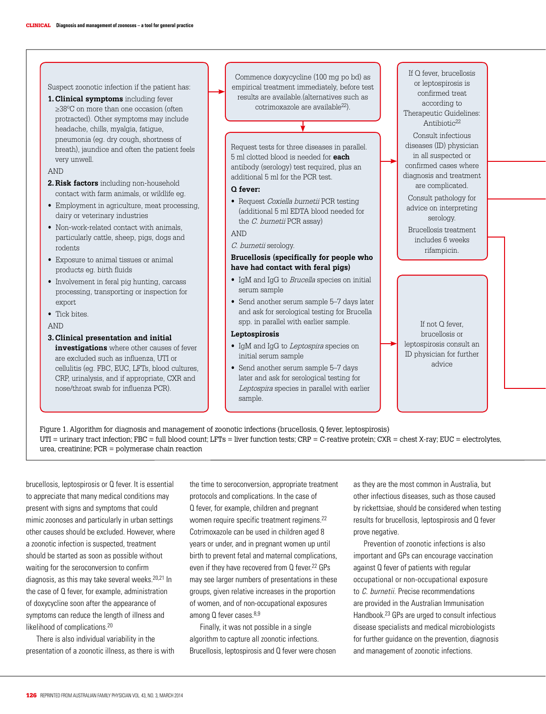**1. Clinical symptoms** including fever ≥38°C on more than one occasion (often protracted). Other symptoms may include headache, chills, myalgia, fatigue, pneumonia (eg. dry cough, shortness of breath), jaundice and often the patient feels very unwell.

Suspect zoonotic infection if the patient has:

#### AND

- **2. Risk factors** including non-household contact with farm animals, or wildlife eg.
- Employment in agriculture, meat processing, dairy or veterinary industries
- Non-work-related contact with animals, particularly cattle, sheep, pigs, dogs and rodents
- • Exposure to animal tissues or animal products eg. birth fluids
- Involvement in feral pig hunting, carcass processing, transporting or inspection for export.
- Tick bites.
- AND

#### **3. Clinical presentation and initial**

**investigations** where other causes of fever are excluded such as influenza, UTI or cellulitis (eg. FBC, EUC, LFTs, blood cultures, CRP, urinalysis, and if appropriate, CXR and nose/throat swab for influenza PCR).

Commence doxycycline (100 mg po bd) as empirical treatment immediately, before test results are available.(alternatives such as cotrimoxazole are available<sup>22</sup>).

Request tests for three diseases in parallel. 5 ml clotted blood is needed for **each** antibody (serology) test required, plus an additional 5 ml for the PCR test.

#### **Q fever:**

• Request Coxiella burnetii PCR testing (additional 5 ml EDTA blood needed for the C. burnetii PCR assay)

## AND

C. burnetii serology.

## **Brucellosis (specifically for people who have had contact with feral pigs)**

- IgM and IgG to *Brucella* species on initial serum sample
- Send another serum sample 5–7 days later and ask for serological testing for Brucella spp. in parallel with earlier sample.

#### **Leptospirosis**

- IgM and IgG to Leptospira species on initial serum sample
- Send another serum sample 5–7 days later and ask for serological testing for Leptospira species in parallel with earlier sample.

If Q fever, brucellosis or leptospirosis is confirmed treat according to Therapeutic Guidelines: Antibiotic<sup>22</sup> Consult infectious diseases (ID) physician in all suspected or confirmed cases where diagnosis and treatment are complicated. Consult pathology for advice on interpreting serology. Brucellosis treatment includes 6 weeks rifampicin.

If not Q fever, brucellosis or leptospirosis consult an ID physician for further advice

Figure 1. Algorithm for diagnosis and management of zoonotic infections (brucellosis, Q fever, leptospirosis) UTI = urinary tract infection; FBC = full blood count; LFTs = liver function tests; CRP = C-reative protein; CXR = chest X-ray; EUC = electrolytes, urea, creatinine; PCR = polymerase chain reaction

brucellosis, leptospirosis or Q fever. It is essential to appreciate that many medical conditions may present with signs and symptoms that could mimic zoonoses and particularly in urban settings other causes should be excluded. However, where a zoonotic infection is suspected, treatment should be started as soon as possible without waiting for the seroconversion to confirm diagnosis, as this may take several weeks.<sup>20,21</sup> In the case of Q fever, for example, administration of doxycycline soon after the appearance of symptoms can reduce the length of illness and likelihood of complications.20

There is also individual variability in the presentation of a zoonotic illness, as there is with the time to seroconversion, appropriate treatment protocols and complications. In the case of Q fever, for example, children and pregnant women require specific treatment regimens.<sup>22</sup> Cotrimoxazole can be used in children aged 8 years or under, and in pregnant women up until birth to prevent fetal and maternal complications, even if they have recovered from Q fever.<sup>22</sup> GPs may see larger numbers of presentations in these groups, given relative increases in the proportion of women, and of non-occupational exposures among Q fever cases.<sup>8,9</sup>

Finally, it was not possible in a single algorithm to capture all zoonotic infections. Brucellosis, leptospirosis and Q fever were chosen as they are the most common in Australia, but other infectious diseases, such as those caused by rickettsiae, should be considered when testing results for brucellosis, leptospirosis and Q fever prove negative.

Prevention of zoonotic infections is also important and GPs can encourage vaccination against Q fever of patients with regular occupational or non-occupational exposure to C. burnetii. Precise recommendations are provided in the Australian Immunisation Handbook.23 GPs are urged to consult infectious disease specialists and medical microbiologists for further guidance on the prevention, diagnosis and management of zoonotic infections.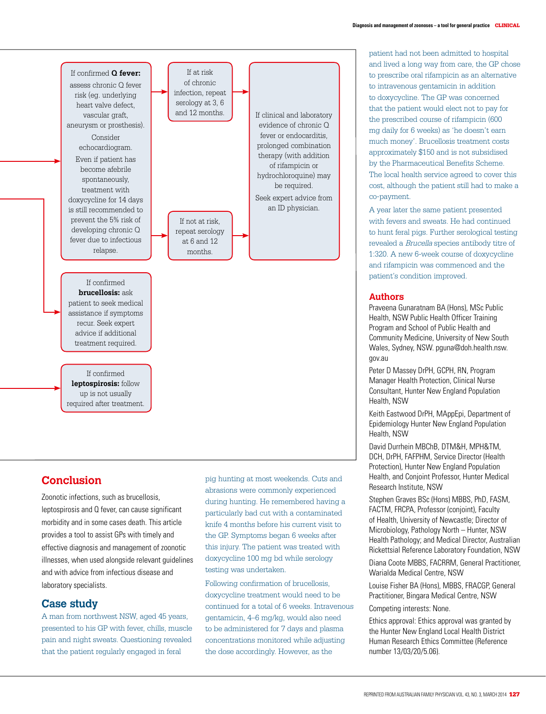

# **Conclusion**

Zoonotic infections, such as brucellosis, leptospirosis and Q fever, can cause significant morbidity and in some cases death. This article provides a tool to assist GPs with timely and effective diagnosis and management of zoonotic illnesses, when used alongside relevant guidelines and with advice from infectious disease and laboratory specialists.

# **Case study**

A man from northwest NSW, aged 45 years, presented to his GP with fever, chills, muscle pain and night sweats. Questioning revealed that the patient regularly engaged in feral

pig hunting at most weekends. Cuts and abrasions were commonly experienced during hunting. He remembered having a particularly bad cut with a contaminated knife 4 months before his current visit to the GP. Symptoms began 6 weeks after this injury. The patient was treated with doxycycline 100 mg bd while serology testing was undertaken.

Following confirmation of brucellosis, doxycycline treatment would need to be continued for a total of 6 weeks. Intravenous gentamicin, 4–6 mg/kg, would also need to be administered for 7 days and plasma concentrations monitored while adjusting the dose accordingly. However, as the

patient had not been admitted to hospital and lived a long way from care, the GP chose to prescribe oral rifampicin as an alternative to intravenous gentamicin in addition to doxycycline. The GP was concerned that the patient would elect not to pay for the prescribed course of rifampicin (600 mg daily for 6 weeks) as 'he doesn't earn much money'. Brucellosis treatment costs approximately \$150 and is not subsidised by the Pharmaceutical Benefits Scheme. The local health service agreed to cover this cost, although the patient still had to make a co-payment.

A year later the same patient presented with fevers and sweats. He had continued to hunt feral pigs. Further serological testing revealed a Brucella species antibody titre of 1:320. A new 6-week course of doxycycline and rifampicin was commenced and the patient's condition improved.

# **Authors**

Praveena Gunaratnam BA (Hons), MSc Public Health, NSW Public Health Officer Training Program and School of Public Health and Community Medicine, University of New South Wales, Sydney, NSW. pguna@doh.health.nsw. gov.au

Peter D Massey DrPH, GCPH, RN, Program Manager Health Protection, Clinical Nurse Consultant, Hunter New England Population Health, NSW

Keith Eastwood DrPH, MAppEpi, Department of Epidemiology Hunter New England Population Health, NSW

David Durrhein MBChB, DTM&H, MPH&TM, DCH, DrPH, FAFPHM, Service Director (Health Protection), Hunter New England Population Health, and Conjoint Professor, Hunter Medical Research Institute, NSW

Stephen Graves BSc (Hons) MBBS, PhD, FASM, FACTM, FRCPA, Professor (conjoint), Faculty of Health, University of Newcastle; Director of Microbiology, Pathology North – Hunter, NSW Health Pathology; and Medical Director, Australian Rickettsial Reference Laboratory Foundation, NSW

Diana Coote MBBS, FACRRM, General Practitioner, Warialda Medical Centre, NSW

Louise Fisher BA (Hons), MBBS, FRACGP, General Practitioner, Bingara Medical Centre, NSW

Competing interests: None.

Ethics approval: Ethics approval was granted by the Hunter New England Local Health District Human Research Ethics Committee (Reference number 13/03/20/5.06).